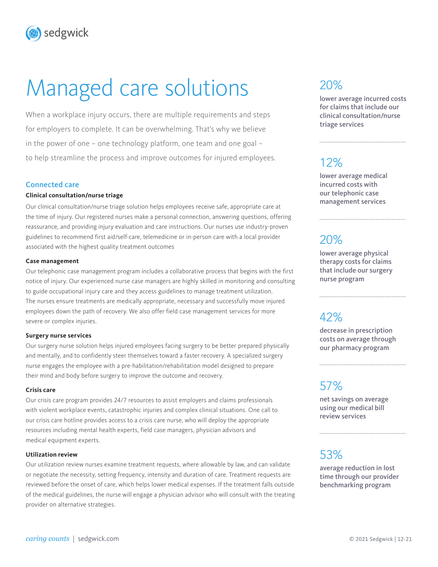sedgwick

# Managed care solutions

When a workplace injury occurs, there are multiple requirements and steps for employers to complete. It can be overwhelming. That's why we believe in the power of one – one technology platform, one team and one goal – to help streamline the process and improve outcomes for injured employees.

### Connected care

### **Clinical consultation/nurse triage**

Our clinical consultation/nurse triage solution helps employees receive safe, appropriate care at the time of injury. Our registered nurses make a personal connection, answering questions, offering reassurance, and providing injury evaluation and care instructions. Our nurses use industry-proven guidelines to recommend first aid/self-care, telemedicine or in-person care with a local provider associated with the highest quality treatment outcomes

### **Case management**

Our telephonic case management program includes a collaborative process that begins with the first notice of injury. Our experienced nurse case managers are highly skilled in monitoring and consulting to guide occupational injury care and they access guidelines to manage treatment utilization. The nurses ensure treatments are medically appropriate, necessary and successfully move injured employees down the path of recovery. We also offer field case management services for more severe or complex injuries.

### **Surgery nurse services**

Our surgery nurse solution helps injured employees facing surgery to be better prepared physically and mentally, and to confidently steer themselves toward a faster recovery. A specialized surgery nurse engages the employee with a pre-habilitation/rehabilitation model designed to prepare their mind and body before surgery to improve the outcome and recovery.

### **Crisis care**

Our crisis care program provides 24/7 resources to assist employers and claims professionals with violent workplace events, catastrophic injuries and complex clinical situations. One call to our crisis care hotline provides access to a crisis care nurse, who will deploy the appropriate resources including mental health experts, field case managers, physician advisors and medical equipment experts.

### **Utilization review**

Our utilization review nurses examine treatment requests, where allowable by law, and can validate or negotiate the necessity, setting frequency, intensity and duration of care. Treatment requests are reviewed before the onset of care, which helps lower medical expenses. If the treatment falls outside of the medical guidelines, the nurse will engage a physician advisor who will consult with the treating provider on alternative strategies.

# 20%

lower average incurred costs for claims that include our clinical consultation/nurse triage services

# 12%

lower average medical incurred costs with our telephonic case management services

## 20%

lower average physical therapy costs for claims that include our surgery nurse program

## 42%

decrease in prescription costs on average through our pharmacy program

## 57%

net savings on average using our medical bill review services

## 53%

average reduction in lost time through our provider benchmarking program